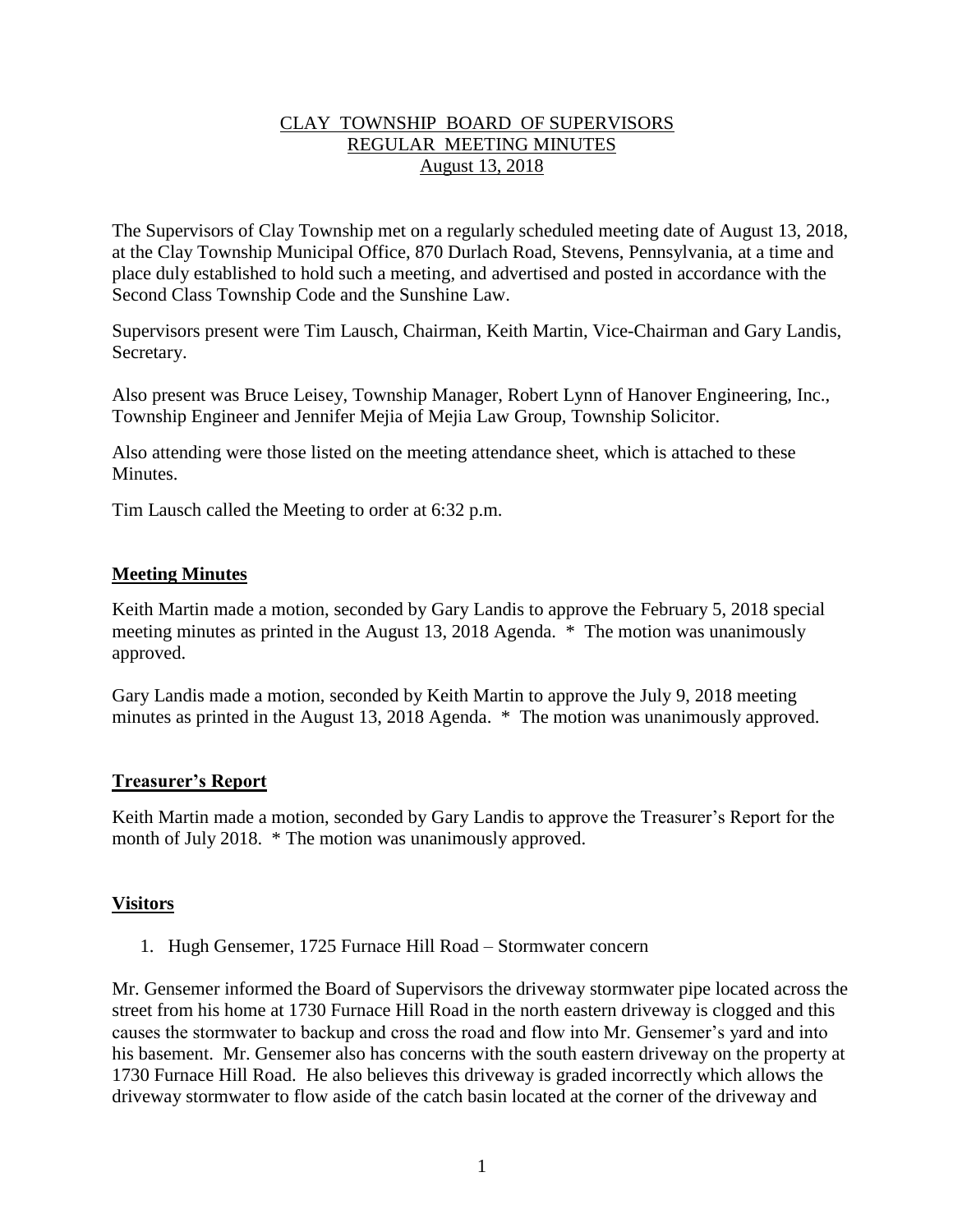## CLAY TOWNSHIP BOARD OF SUPERVISORS REGULAR MEETING MINUTES August 13, 2018

The Supervisors of Clay Township met on a regularly scheduled meeting date of August 13, 2018, at the Clay Township Municipal Office, 870 Durlach Road, Stevens, Pennsylvania, at a time and place duly established to hold such a meeting, and advertised and posted in accordance with the Second Class Township Code and the Sunshine Law.

Supervisors present were Tim Lausch, Chairman, Keith Martin, Vice-Chairman and Gary Landis, Secretary.

Also present was Bruce Leisey, Township Manager, Robert Lynn of Hanover Engineering, Inc., Township Engineer and Jennifer Mejia of Mejia Law Group, Township Solicitor.

Also attending were those listed on the meeting attendance sheet, which is attached to these **Minutes** 

Tim Lausch called the Meeting to order at 6:32 p.m.

### **Meeting Minutes**

Keith Martin made a motion, seconded by Gary Landis to approve the February 5, 2018 special meeting minutes as printed in the August 13, 2018 Agenda. \* The motion was unanimously approved.

Gary Landis made a motion, seconded by Keith Martin to approve the July 9, 2018 meeting minutes as printed in the August 13, 2018 Agenda. \* The motion was unanimously approved.

### **Treasurer's Report**

Keith Martin made a motion, seconded by Gary Landis to approve the Treasurer's Report for the month of July 2018. \* The motion was unanimously approved.

## **Visitors**

1. Hugh Gensemer, 1725 Furnace Hill Road – Stormwater concern

Mr. Gensemer informed the Board of Supervisors the driveway stormwater pipe located across the street from his home at 1730 Furnace Hill Road in the north eastern driveway is clogged and this causes the stormwater to backup and cross the road and flow into Mr. Gensemer's yard and into his basement. Mr. Gensemer also has concerns with the south eastern driveway on the property at 1730 Furnace Hill Road. He also believes this driveway is graded incorrectly which allows the driveway stormwater to flow aside of the catch basin located at the corner of the driveway and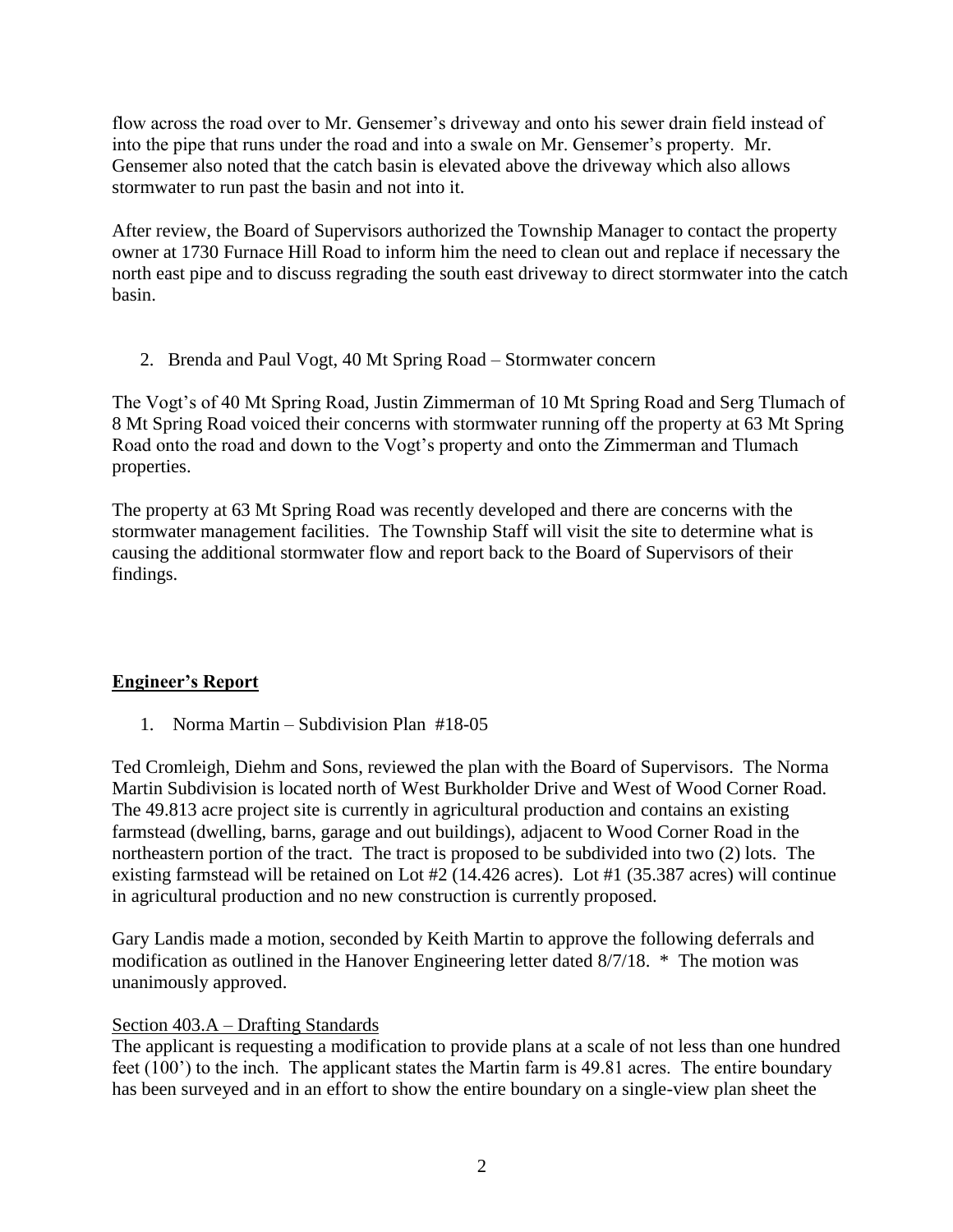flow across the road over to Mr. Gensemer's driveway and onto his sewer drain field instead of into the pipe that runs under the road and into a swale on Mr. Gensemer's property. Mr. Gensemer also noted that the catch basin is elevated above the driveway which also allows stormwater to run past the basin and not into it.

After review, the Board of Supervisors authorized the Township Manager to contact the property owner at 1730 Furnace Hill Road to inform him the need to clean out and replace if necessary the north east pipe and to discuss regrading the south east driveway to direct stormwater into the catch basin.

2. Brenda and Paul Vogt, 40 Mt Spring Road – Stormwater concern

The Vogt's of 40 Mt Spring Road, Justin Zimmerman of 10 Mt Spring Road and Serg Tlumach of 8 Mt Spring Road voiced their concerns with stormwater running off the property at 63 Mt Spring Road onto the road and down to the Vogt's property and onto the Zimmerman and Tlumach properties.

The property at 63 Mt Spring Road was recently developed and there are concerns with the stormwater management facilities. The Township Staff will visit the site to determine what is causing the additional stormwater flow and report back to the Board of Supervisors of their findings.

# **Engineer's Report**

1. Norma Martin – Subdivision Plan #18-05

Ted Cromleigh, Diehm and Sons, reviewed the plan with the Board of Supervisors. The Norma Martin Subdivision is located north of West Burkholder Drive and West of Wood Corner Road. The 49.813 acre project site is currently in agricultural production and contains an existing farmstead (dwelling, barns, garage and out buildings), adjacent to Wood Corner Road in the northeastern portion of the tract. The tract is proposed to be subdivided into two (2) lots. The existing farmstead will be retained on Lot #2 (14.426 acres). Lot #1 (35.387 acres) will continue in agricultural production and no new construction is currently proposed.

Gary Landis made a motion, seconded by Keith Martin to approve the following deferrals and modification as outlined in the Hanover Engineering letter dated 8/7/18. \* The motion was unanimously approved.

## Section 403.A – Drafting Standards

The applicant is requesting a modification to provide plans at a scale of not less than one hundred feet (100') to the inch. The applicant states the Martin farm is 49.81 acres. The entire boundary has been surveyed and in an effort to show the entire boundary on a single-view plan sheet the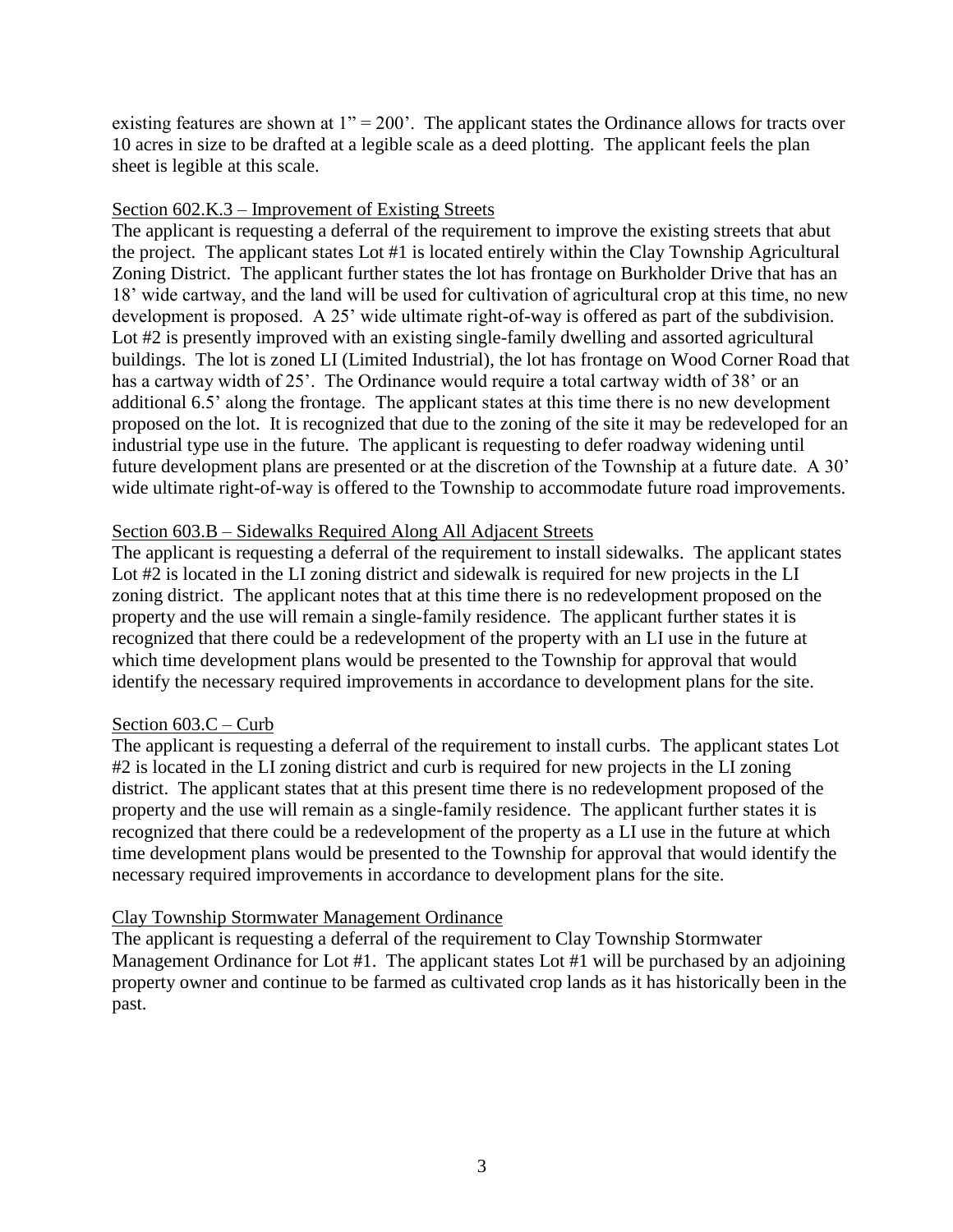existing features are shown at  $1" = 200'$ . The applicant states the Ordinance allows for tracts over 10 acres in size to be drafted at a legible scale as a deed plotting. The applicant feels the plan sheet is legible at this scale.

### Section 602.K.3 – Improvement of Existing Streets

The applicant is requesting a deferral of the requirement to improve the existing streets that abut the project. The applicant states Lot #1 is located entirely within the Clay Township Agricultural Zoning District. The applicant further states the lot has frontage on Burkholder Drive that has an 18' wide cartway, and the land will be used for cultivation of agricultural crop at this time, no new development is proposed. A 25' wide ultimate right-of-way is offered as part of the subdivision. Lot #2 is presently improved with an existing single-family dwelling and assorted agricultural buildings. The lot is zoned LI (Limited Industrial), the lot has frontage on Wood Corner Road that has a cartway width of 25'. The Ordinance would require a total cartway width of 38' or an additional 6.5' along the frontage. The applicant states at this time there is no new development proposed on the lot. It is recognized that due to the zoning of the site it may be redeveloped for an industrial type use in the future. The applicant is requesting to defer roadway widening until future development plans are presented or at the discretion of the Township at a future date. A 30' wide ultimate right-of-way is offered to the Township to accommodate future road improvements.

### Section 603.B – Sidewalks Required Along All Adjacent Streets

The applicant is requesting a deferral of the requirement to install sidewalks. The applicant states Lot #2 is located in the LI zoning district and sidewalk is required for new projects in the LI zoning district. The applicant notes that at this time there is no redevelopment proposed on the property and the use will remain a single-family residence. The applicant further states it is recognized that there could be a redevelopment of the property with an LI use in the future at which time development plans would be presented to the Township for approval that would identify the necessary required improvements in accordance to development plans for the site.

### Section 603.C – Curb

The applicant is requesting a deferral of the requirement to install curbs. The applicant states Lot #2 is located in the LI zoning district and curb is required for new projects in the LI zoning district. The applicant states that at this present time there is no redevelopment proposed of the property and the use will remain as a single-family residence. The applicant further states it is recognized that there could be a redevelopment of the property as a LI use in the future at which time development plans would be presented to the Township for approval that would identify the necessary required improvements in accordance to development plans for the site.

### Clay Township Stormwater Management Ordinance

The applicant is requesting a deferral of the requirement to Clay Township Stormwater Management Ordinance for Lot #1. The applicant states Lot #1 will be purchased by an adjoining property owner and continue to be farmed as cultivated crop lands as it has historically been in the past.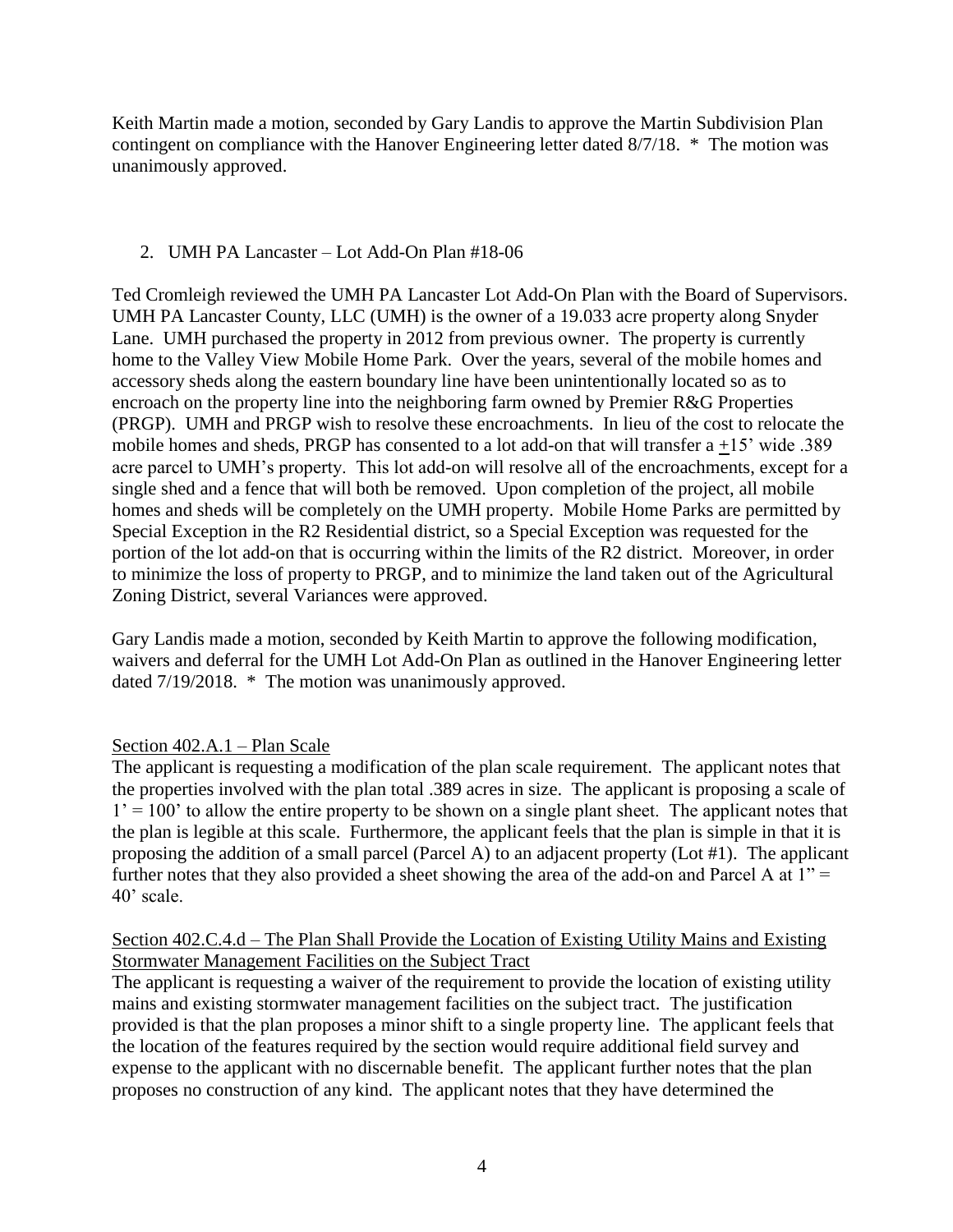Keith Martin made a motion, seconded by Gary Landis to approve the Martin Subdivision Plan contingent on compliance with the Hanover Engineering letter dated 8/7/18. \* The motion was unanimously approved.

### 2. UMH PA Lancaster – Lot Add-On Plan #18-06

Ted Cromleigh reviewed the UMH PA Lancaster Lot Add-On Plan with the Board of Supervisors. UMH PA Lancaster County, LLC (UMH) is the owner of a 19.033 acre property along Snyder Lane. UMH purchased the property in 2012 from previous owner. The property is currently home to the Valley View Mobile Home Park. Over the years, several of the mobile homes and accessory sheds along the eastern boundary line have been unintentionally located so as to encroach on the property line into the neighboring farm owned by Premier R&G Properties (PRGP). UMH and PRGP wish to resolve these encroachments. In lieu of the cost to relocate the mobile homes and sheds, PRGP has consented to a lot add-on that will transfer a +15' wide .389 acre parcel to UMH's property. This lot add-on will resolve all of the encroachments, except for a single shed and a fence that will both be removed. Upon completion of the project, all mobile homes and sheds will be completely on the UMH property. Mobile Home Parks are permitted by Special Exception in the R2 Residential district, so a Special Exception was requested for the portion of the lot add-on that is occurring within the limits of the R2 district. Moreover, in order to minimize the loss of property to PRGP, and to minimize the land taken out of the Agricultural Zoning District, several Variances were approved.

Gary Landis made a motion, seconded by Keith Martin to approve the following modification, waivers and deferral for the UMH Lot Add-On Plan as outlined in the Hanover Engineering letter dated 7/19/2018. \* The motion was unanimously approved.

## Section 402.A.1 – Plan Scale

The applicant is requesting a modification of the plan scale requirement. The applicant notes that the properties involved with the plan total .389 acres in size. The applicant is proposing a scale of  $1' = 100'$  to allow the entire property to be shown on a single plant sheet. The applicant notes that the plan is legible at this scale. Furthermore, the applicant feels that the plan is simple in that it is proposing the addition of a small parcel (Parcel A) to an adjacent property (Lot #1). The applicant further notes that they also provided a sheet showing the area of the add-on and Parcel A at  $1"$  = 40' scale.

### Section 402.C.4.d – The Plan Shall Provide the Location of Existing Utility Mains and Existing Stormwater Management Facilities on the Subject Tract

The applicant is requesting a waiver of the requirement to provide the location of existing utility mains and existing stormwater management facilities on the subject tract. The justification provided is that the plan proposes a minor shift to a single property line. The applicant feels that the location of the features required by the section would require additional field survey and expense to the applicant with no discernable benefit. The applicant further notes that the plan proposes no construction of any kind. The applicant notes that they have determined the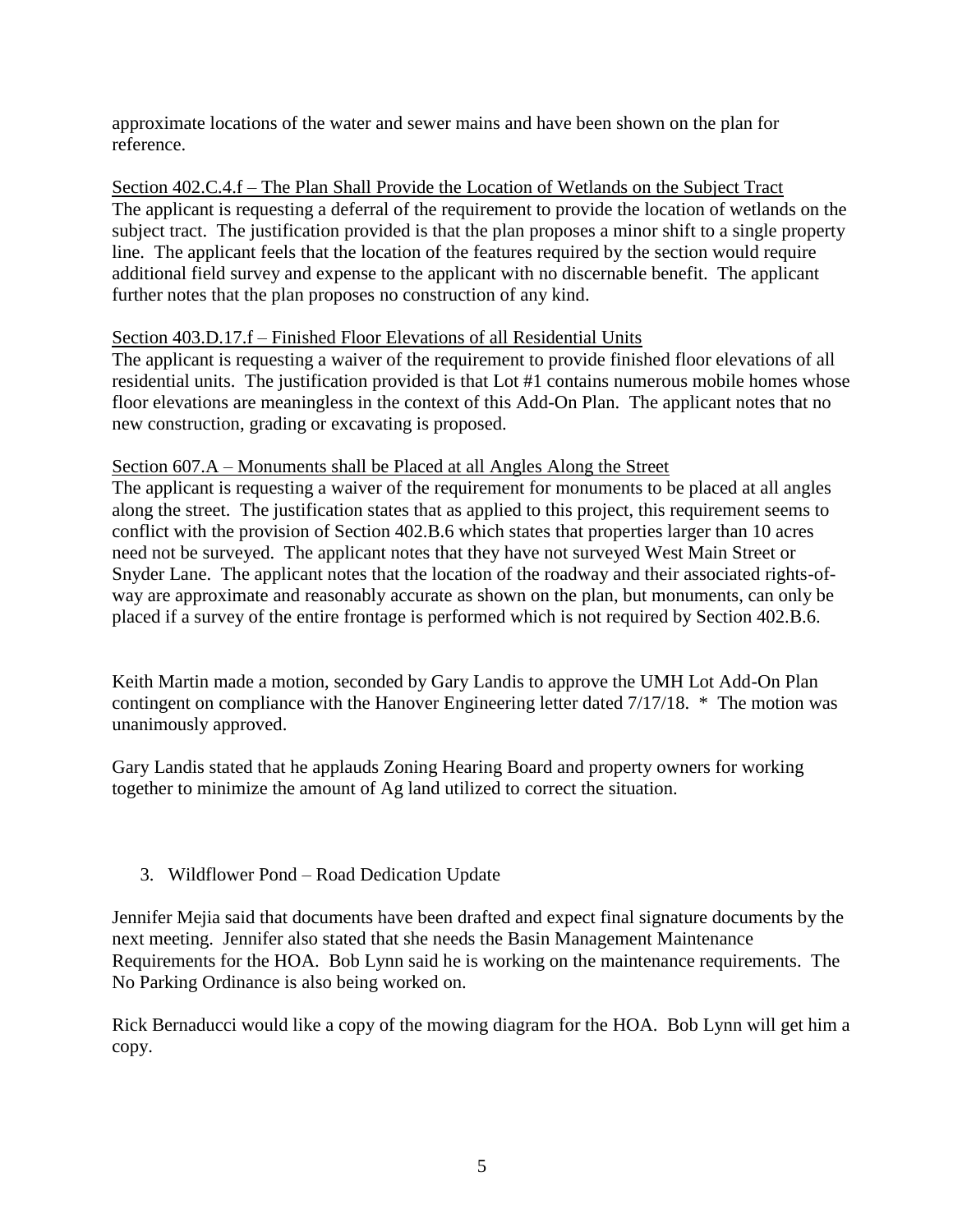approximate locations of the water and sewer mains and have been shown on the plan for reference.

Section 402.C.4.f – The Plan Shall Provide the Location of Wetlands on the Subject Tract The applicant is requesting a deferral of the requirement to provide the location of wetlands on the subject tract. The justification provided is that the plan proposes a minor shift to a single property line. The applicant feels that the location of the features required by the section would require additional field survey and expense to the applicant with no discernable benefit. The applicant further notes that the plan proposes no construction of any kind.

### Section 403.D.17.f – Finished Floor Elevations of all Residential Units

The applicant is requesting a waiver of the requirement to provide finished floor elevations of all residential units. The justification provided is that Lot #1 contains numerous mobile homes whose floor elevations are meaningless in the context of this Add-On Plan. The applicant notes that no new construction, grading or excavating is proposed.

### Section 607.A – Monuments shall be Placed at all Angles Along the Street

The applicant is requesting a waiver of the requirement for monuments to be placed at all angles along the street. The justification states that as applied to this project, this requirement seems to conflict with the provision of Section 402.B.6 which states that properties larger than 10 acres need not be surveyed. The applicant notes that they have not surveyed West Main Street or Snyder Lane. The applicant notes that the location of the roadway and their associated rights-ofway are approximate and reasonably accurate as shown on the plan, but monuments, can only be placed if a survey of the entire frontage is performed which is not required by Section 402.B.6.

Keith Martin made a motion, seconded by Gary Landis to approve the UMH Lot Add-On Plan contingent on compliance with the Hanover Engineering letter dated 7/17/18. \* The motion was unanimously approved.

Gary Landis stated that he applauds Zoning Hearing Board and property owners for working together to minimize the amount of Ag land utilized to correct the situation.

## 3. Wildflower Pond – Road Dedication Update

Jennifer Mejia said that documents have been drafted and expect final signature documents by the next meeting. Jennifer also stated that she needs the Basin Management Maintenance Requirements for the HOA. Bob Lynn said he is working on the maintenance requirements. The No Parking Ordinance is also being worked on.

Rick Bernaducci would like a copy of the mowing diagram for the HOA. Bob Lynn will get him a copy.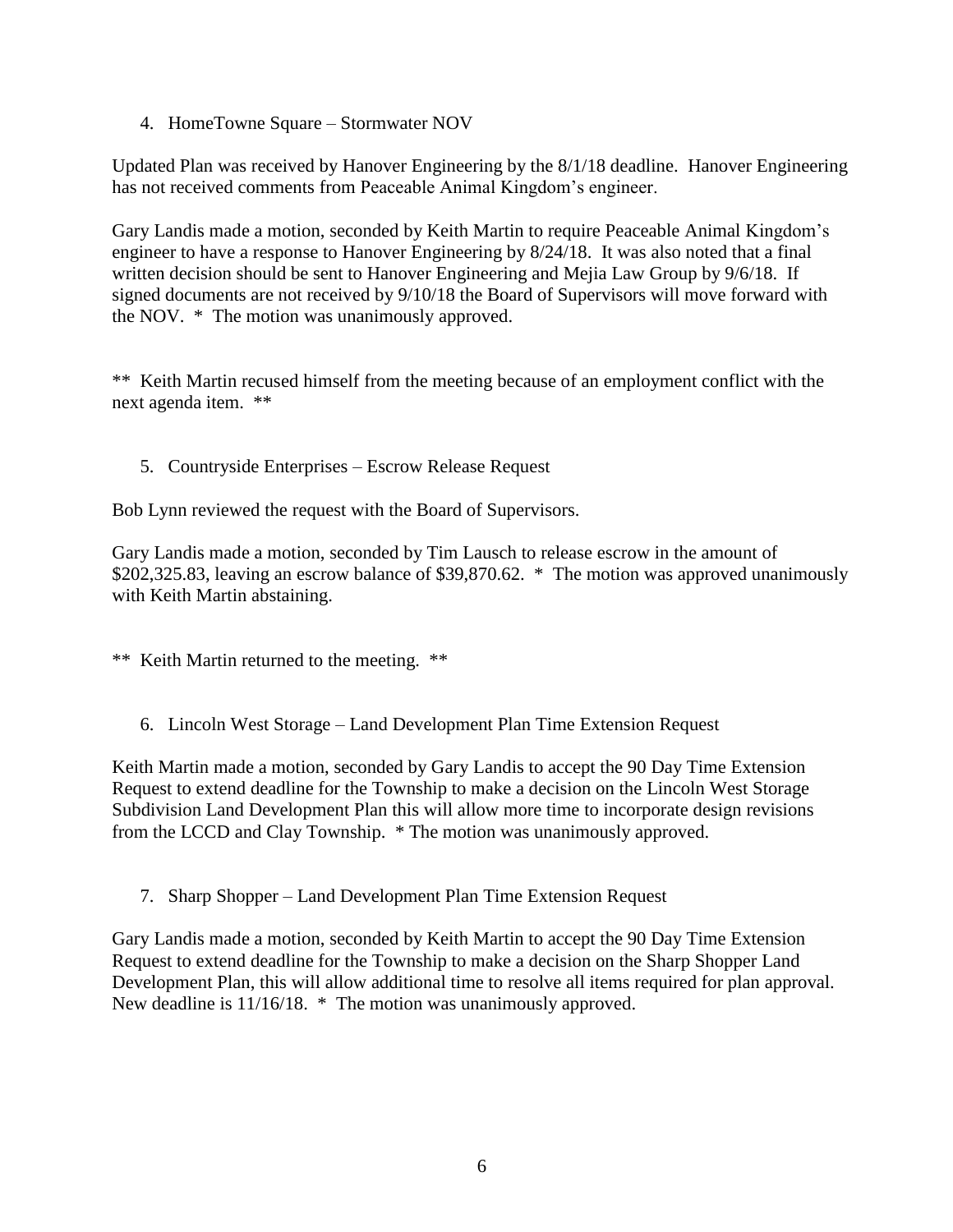4. HomeTowne Square – Stormwater NOV

Updated Plan was received by Hanover Engineering by the 8/1/18 deadline. Hanover Engineering has not received comments from Peaceable Animal Kingdom's engineer.

Gary Landis made a motion, seconded by Keith Martin to require Peaceable Animal Kingdom's engineer to have a response to Hanover Engineering by 8/24/18. It was also noted that a final written decision should be sent to Hanover Engineering and Mejia Law Group by 9/6/18. If signed documents are not received by 9/10/18 the Board of Supervisors will move forward with the NOV. \* The motion was unanimously approved.

\*\* Keith Martin recused himself from the meeting because of an employment conflict with the next agenda item. \*\*

5. Countryside Enterprises – Escrow Release Request

Bob Lynn reviewed the request with the Board of Supervisors.

Gary Landis made a motion, seconded by Tim Lausch to release escrow in the amount of \$202,325.83, leaving an escrow balance of \$39,870.62. \* The motion was approved unanimously with Keith Martin abstaining.

\*\* Keith Martin returned to the meeting. \*\*

6. Lincoln West Storage – Land Development Plan Time Extension Request

Keith Martin made a motion, seconded by Gary Landis to accept the 90 Day Time Extension Request to extend deadline for the Township to make a decision on the Lincoln West Storage Subdivision Land Development Plan this will allow more time to incorporate design revisions from the LCCD and Clay Township. \* The motion was unanimously approved.

7. Sharp Shopper – Land Development Plan Time Extension Request

Gary Landis made a motion, seconded by Keith Martin to accept the 90 Day Time Extension Request to extend deadline for the Township to make a decision on the Sharp Shopper Land Development Plan, this will allow additional time to resolve all items required for plan approval. New deadline is 11/16/18. \* The motion was unanimously approved.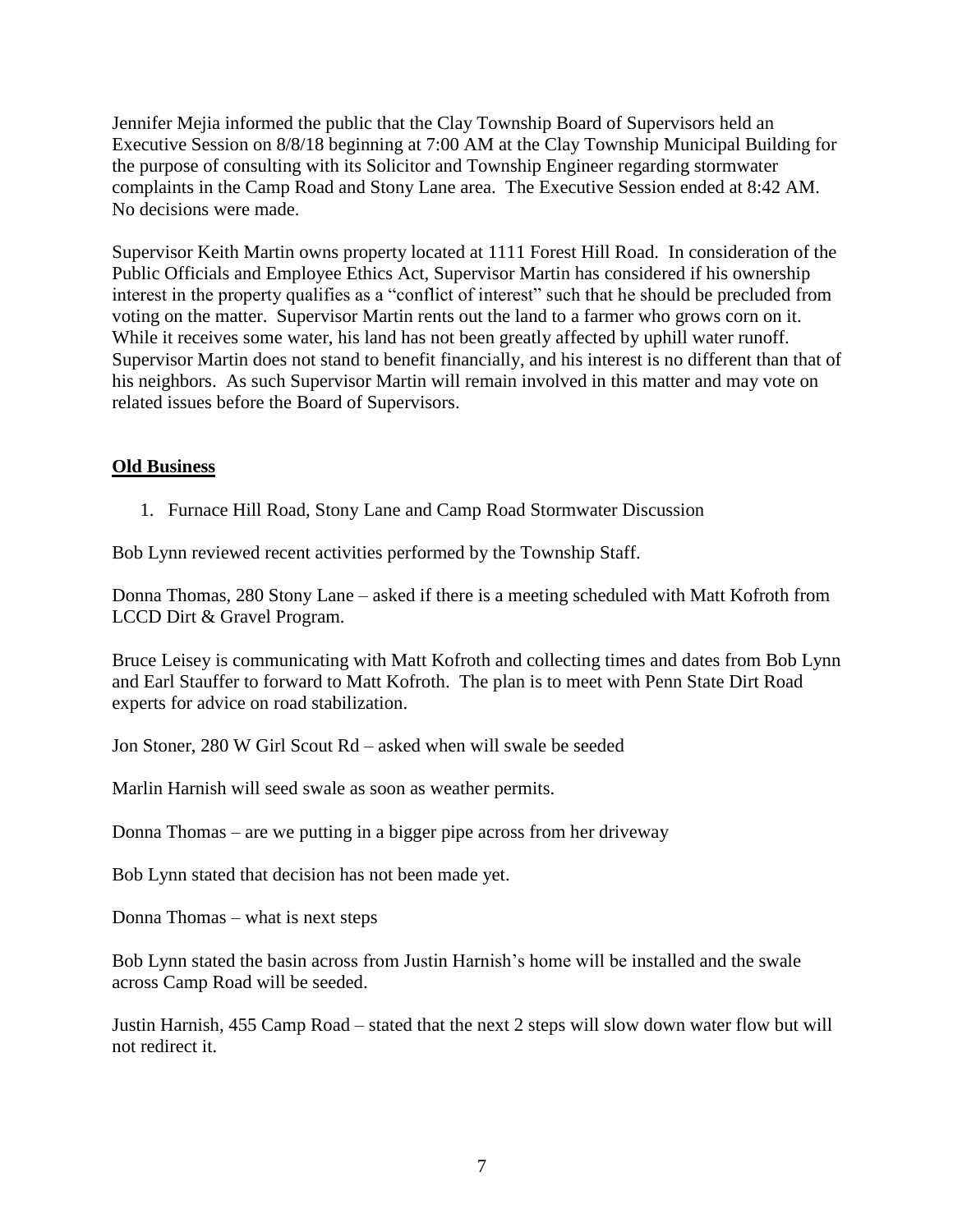Jennifer Mejia informed the public that the Clay Township Board of Supervisors held an Executive Session on 8/8/18 beginning at 7:00 AM at the Clay Township Municipal Building for the purpose of consulting with its Solicitor and Township Engineer regarding stormwater complaints in the Camp Road and Stony Lane area. The Executive Session ended at 8:42 AM. No decisions were made.

Supervisor Keith Martin owns property located at 1111 Forest Hill Road. In consideration of the Public Officials and Employee Ethics Act, Supervisor Martin has considered if his ownership interest in the property qualifies as a "conflict of interest" such that he should be precluded from voting on the matter. Supervisor Martin rents out the land to a farmer who grows corn on it. While it receives some water, his land has not been greatly affected by uphill water runoff. Supervisor Martin does not stand to benefit financially, and his interest is no different than that of his neighbors. As such Supervisor Martin will remain involved in this matter and may vote on related issues before the Board of Supervisors.

### **Old Business**

1. Furnace Hill Road, Stony Lane and Camp Road Stormwater Discussion

Bob Lynn reviewed recent activities performed by the Township Staff.

Donna Thomas, 280 Stony Lane – asked if there is a meeting scheduled with Matt Kofroth from LCCD Dirt & Gravel Program.

Bruce Leisey is communicating with Matt Kofroth and collecting times and dates from Bob Lynn and Earl Stauffer to forward to Matt Kofroth. The plan is to meet with Penn State Dirt Road experts for advice on road stabilization.

Jon Stoner, 280 W Girl Scout Rd – asked when will swale be seeded

Marlin Harnish will seed swale as soon as weather permits.

Donna Thomas – are we putting in a bigger pipe across from her driveway

Bob Lynn stated that decision has not been made yet.

Donna Thomas – what is next steps

Bob Lynn stated the basin across from Justin Harnish's home will be installed and the swale across Camp Road will be seeded.

Justin Harnish, 455 Camp Road – stated that the next 2 steps will slow down water flow but will not redirect it.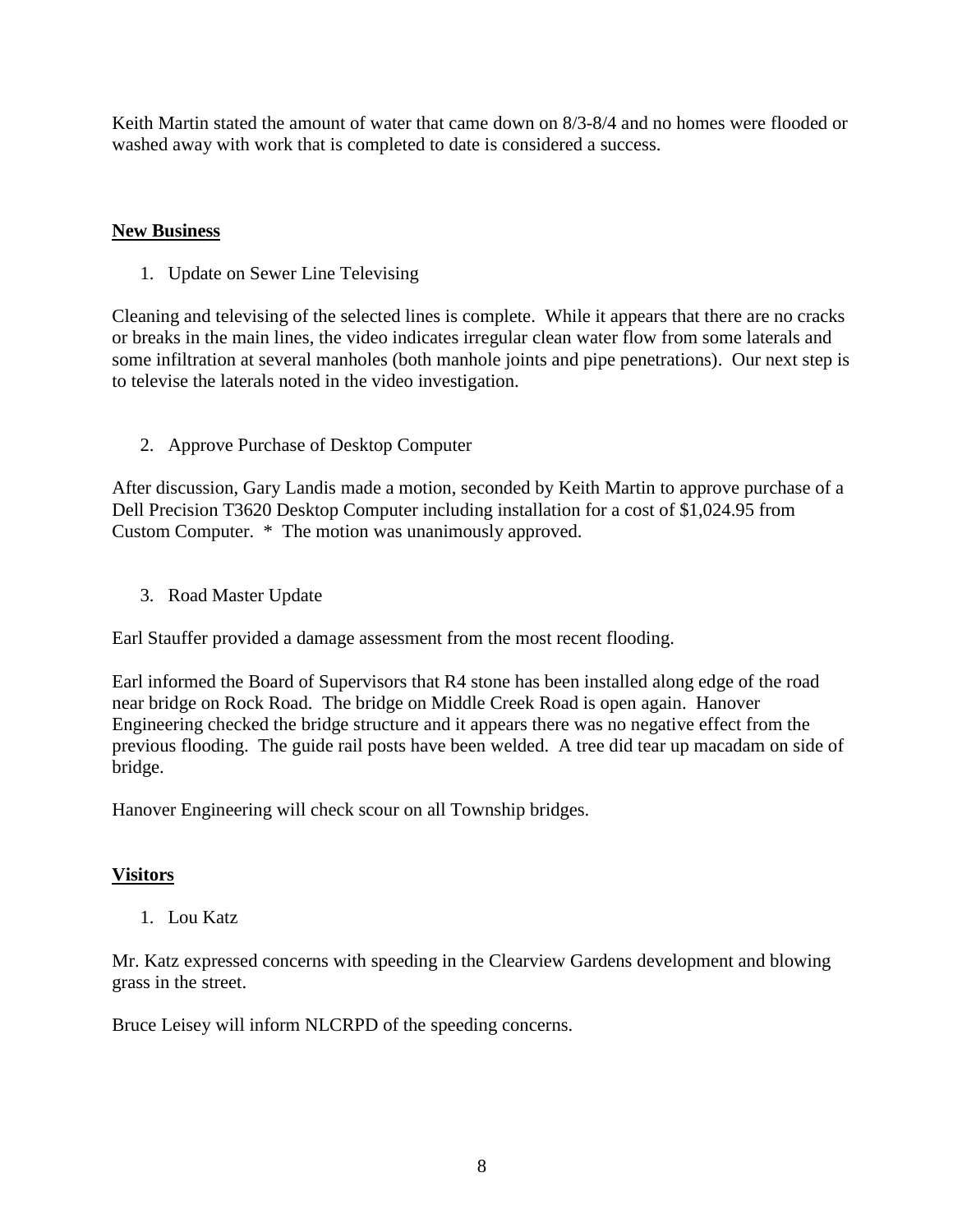Keith Martin stated the amount of water that came down on 8/3-8/4 and no homes were flooded or washed away with work that is completed to date is considered a success.

### **New Business**

1. Update on Sewer Line Televising

Cleaning and televising of the selected lines is complete. While it appears that there are no cracks or breaks in the main lines, the video indicates irregular clean water flow from some laterals and some infiltration at several manholes (both manhole joints and pipe penetrations). Our next step is to televise the laterals noted in the video investigation.

2. Approve Purchase of Desktop Computer

After discussion, Gary Landis made a motion, seconded by Keith Martin to approve purchase of a Dell Precision T3620 Desktop Computer including installation for a cost of \$1,024.95 from Custom Computer. \* The motion was unanimously approved.

3. Road Master Update

Earl Stauffer provided a damage assessment from the most recent flooding.

Earl informed the Board of Supervisors that R4 stone has been installed along edge of the road near bridge on Rock Road. The bridge on Middle Creek Road is open again. Hanover Engineering checked the bridge structure and it appears there was no negative effect from the previous flooding. The guide rail posts have been welded. A tree did tear up macadam on side of bridge.

Hanover Engineering will check scour on all Township bridges.

## **Visitors**

1. Lou Katz

Mr. Katz expressed concerns with speeding in the Clearview Gardens development and blowing grass in the street.

Bruce Leisey will inform NLCRPD of the speeding concerns.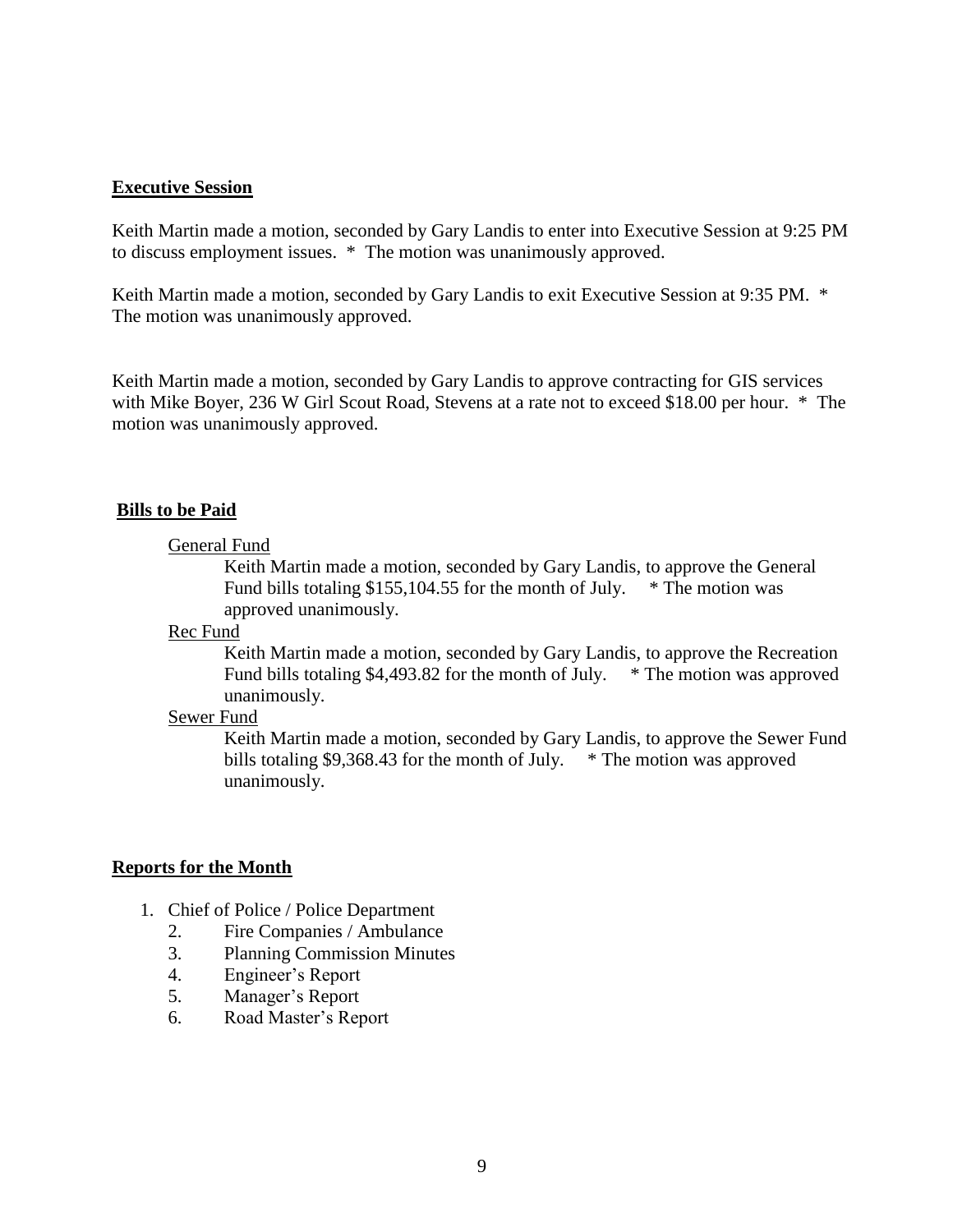#### **Executive Session**

Keith Martin made a motion, seconded by Gary Landis to enter into Executive Session at 9:25 PM to discuss employment issues. \* The motion was unanimously approved.

Keith Martin made a motion, seconded by Gary Landis to exit Executive Session at 9:35 PM. \* The motion was unanimously approved.

Keith Martin made a motion, seconded by Gary Landis to approve contracting for GIS services with Mike Boyer, 236 W Girl Scout Road, Stevens at a rate not to exceed \$18.00 per hour. \* The motion was unanimously approved.

#### **Bills to be Paid**

#### General Fund

Keith Martin made a motion, seconded by Gary Landis, to approve the General Fund bills totaling \$155,104.55 for the month of July. \* The motion was approved unanimously.

#### Rec Fund

Keith Martin made a motion, seconded by Gary Landis, to approve the Recreation Fund bills totaling \$4,493.82 for the month of July. \* The motion was approved unanimously.

### Sewer Fund

Keith Martin made a motion, seconded by Gary Landis, to approve the Sewer Fund bills totaling \$9,368.43 for the month of July. \* The motion was approved unanimously.

#### **Reports for the Month**

- 1. Chief of Police / Police Department
	- 2. Fire Companies / Ambulance
	- 3. Planning Commission Minutes
	- 4. Engineer's Report
	- 5. Manager's Report
	- 6. Road Master's Report